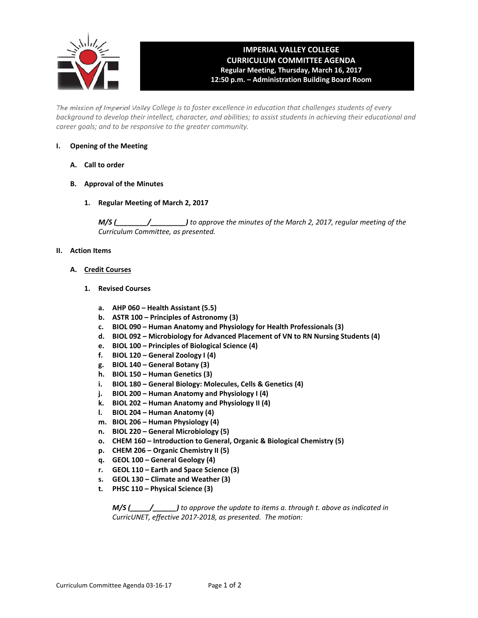

# **IMPERIAL VALLEY COLLEGE CURRICULUM COMMITTEE AGENDA Regular Meeting, Thursday, March 16, 2017 12:50 p.m. – Administration Building Board Room**

The mission of Imperial Valley College is to foster excellence in education that challenges students of every background to develop their intellect, character, and abilities; to assist students in achieving their educational and *career goals; and to be responsive to the greater community.*

# **I. Opening of the Meeting**

- **A. Call to order**
- **B. Approval of the Minutes**
	- **1. Regular Meeting of March 2, 2017**

*M/S (\_\_\_\_\_\_\_\_/\_\_\_\_\_\_\_\_\_) to approve the minutes of the March 2, 2017, regular meeting of the Curriculum Committee, as presented.* 

# **II. Action Items**

- **A. Credit Courses**
	- **1. Revised Courses**
		- **a. AHP 060 – Health Assistant (5.5)**
		- **b. ASTR 100 – Principles of Astronomy (3)**
		- **c. BIOL 090 – Human Anatomy and Physiology for Health Professionals (3)**
		- **d. BIOL 092 – Microbiology for Advanced Placement of VN to RN Nursing Students (4)**
		- **e. BIOL 100 – Principles of Biological Science (4)**
		- **f. BIOL 120 – General Zoology I (4)**
		- **g. BIOL 140 – General Botany (3)**
		- **h. BIOL 150 – Human Genetics (3)**
		- **i. BIOL 180 – General Biology: Molecules, Cells & Genetics (4)**
		- **j. BIOL 200 – Human Anatomy and Physiology I (4)**
		- **k. BIOL 202 – Human Anatomy and Physiology II (4)**
		- **l. BIOL 204 – Human Anatomy (4)**
		- **m. BIOL 206 – Human Physiology (4)**
		- **n. BIOL 220 – General Microbiology (5)**
		- **o. CHEM 160 – Introduction to General, Organic & Biological Chemistry (5)**
		- **p. CHEM 206 – Organic Chemistry II (5)**
		- **q. GEOL 100 – General Geology (4)**
		- **r. GEOL 110 – Earth and Space Science (3)**
		- **s. GEOL 130 – Climate and Weather (3)**
		- **t. PHSC 110 – Physical Science (3)**

 *M/S (\_\_\_\_\_/\_\_\_\_\_\_) to approve the update to items a. through t. above as indicated in CurricUNET, effective 2017‐2018, as presented. The motion:*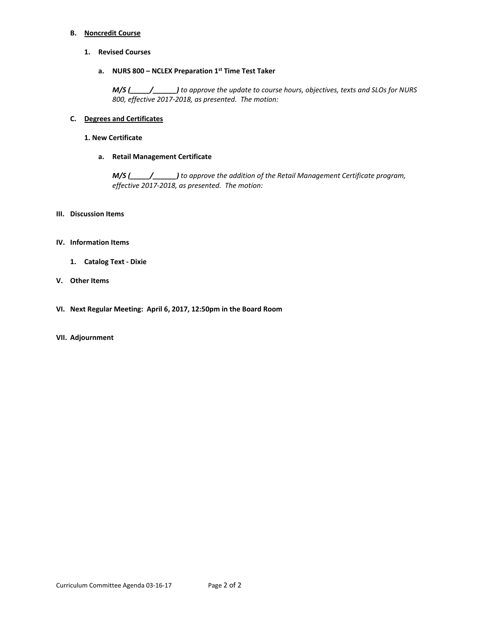#### **B. Noncredit Course**

# **1. Revised Courses**

# **a. NURS 800 – NCLEX Preparation 1st Time Test Taker**

 *M/S (\_\_\_\_\_/\_\_\_\_\_\_) to approve the update to course hours, objectives, texts and SLOs for NURS 800, effective 2017‐2018, as presented. The motion:*

# **C. Degrees and Certificates**

#### **1. New Certificate**

# **a. Retail Management Certificate**

 *M/S (\_\_\_\_\_/\_\_\_\_\_\_) to approve the addition of the Retail Management Certificate program, effective 2017‐2018, as presented. The motion:*

# **III. Discussion Items**

# **IV. Information Items**

**1. Catalog Text ‐ Dixie**

# **V. Other Items**

**VI. Next Regular Meeting: April 6, 2017, 12:50pm in the Board Room**

#### **VII. Adjournment**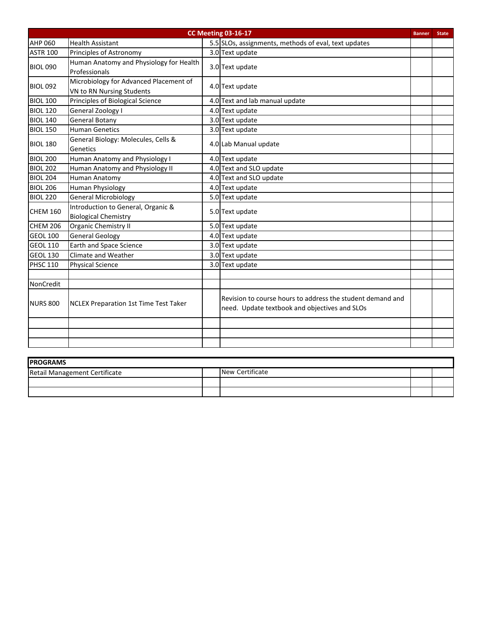| <b>CC Meeting 03-16-17</b><br><b>Banner</b> |                                                                     |  |                                                                                                             |  |  |
|---------------------------------------------|---------------------------------------------------------------------|--|-------------------------------------------------------------------------------------------------------------|--|--|
| <b>AHP 060</b>                              | <b>Health Assistant</b>                                             |  | 5.5 SLOs, assignments, methods of eval, text updates                                                        |  |  |
| <b>ASTR 100</b>                             | Principles of Astronomy                                             |  | 3.0 Text update                                                                                             |  |  |
| <b>BIOL 090</b>                             | Human Anatomy and Physiology for Health<br>Professionals            |  | 3.0 Text update                                                                                             |  |  |
| <b>BIOL 092</b>                             | Microbiology for Advanced Placement of<br>VN to RN Nursing Students |  | 4.0 Text update                                                                                             |  |  |
| <b>BIOL 100</b>                             | Principles of Biological Science                                    |  | 4.0 Text and lab manual update                                                                              |  |  |
| <b>BIOL 120</b>                             | General Zoology I                                                   |  | 4.0 Text update                                                                                             |  |  |
| <b>BIOL 140</b>                             | <b>General Botany</b>                                               |  | 3.0 Text update                                                                                             |  |  |
| <b>BIOL 150</b>                             | <b>Human Genetics</b>                                               |  | 3.0 Text update                                                                                             |  |  |
| <b>BIOL 180</b>                             | General Biology: Molecules, Cells &<br>Genetics                     |  | 4.0 Lab Manual update                                                                                       |  |  |
| <b>BIOL 200</b>                             | Human Anatomy and Physiology I                                      |  | 4.0 Text update                                                                                             |  |  |
| <b>BIOL 202</b>                             | Human Anatomy and Physiology II                                     |  | 4.0 Text and SLO update                                                                                     |  |  |
| <b>BIOL 204</b>                             | <b>Human Anatomy</b>                                                |  | 4.0 Text and SLO update                                                                                     |  |  |
| <b>BIOL 206</b>                             | <b>Human Physiology</b>                                             |  | 4.0 Text update                                                                                             |  |  |
| <b>BIOL 220</b>                             | <b>General Microbiology</b>                                         |  | 5.0 Text update                                                                                             |  |  |
| <b>CHEM 160</b>                             | Introduction to General, Organic &<br><b>Biological Chemistry</b>   |  | 5.0 Text update                                                                                             |  |  |
| <b>CHEM 206</b>                             | <b>Organic Chemistry II</b>                                         |  | 5.0 Text update                                                                                             |  |  |
| <b>GEOL 100</b>                             | <b>General Geology</b>                                              |  | 4.0 Text update                                                                                             |  |  |
| <b>GEOL 110</b>                             | <b>Earth and Space Science</b>                                      |  | 3.0 Text update                                                                                             |  |  |
| <b>GEOL 130</b>                             | Climate and Weather                                                 |  | 3.0 Text update                                                                                             |  |  |
| <b>PHSC 110</b>                             | <b>Physical Science</b>                                             |  | 3.0 Text update                                                                                             |  |  |
|                                             |                                                                     |  |                                                                                                             |  |  |
| NonCredit                                   |                                                                     |  |                                                                                                             |  |  |
| <b>NURS 800</b>                             | <b>NCLEX Preparation 1st Time Test Taker</b>                        |  | Revision to course hours to address the student demand and<br>need. Update textbook and objectives and SLOs |  |  |
|                                             |                                                                     |  |                                                                                                             |  |  |
|                                             |                                                                     |  |                                                                                                             |  |  |
|                                             |                                                                     |  |                                                                                                             |  |  |

| <b>IPROGRAMS</b>              |  |                 |  |  |  |  |  |  |  |
|-------------------------------|--|-----------------|--|--|--|--|--|--|--|
| Retail Management Certificate |  | New Certificate |  |  |  |  |  |  |  |
|                               |  |                 |  |  |  |  |  |  |  |
|                               |  |                 |  |  |  |  |  |  |  |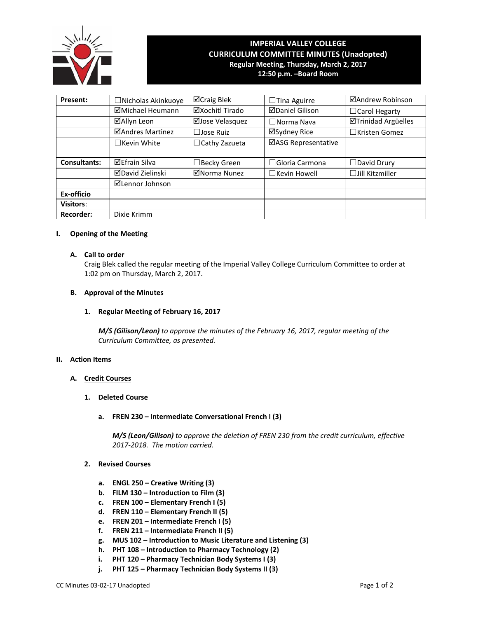

# **IMPERIAL VALLEY COLLEGE CURRICULUM COMMITTEE MINUTES (Unadopted) Regular Meeting, Thursday, March 2, 2017 12:50 p.m. –Board Room**

| Present:            | □Nicholas Akinkuoye     | ⊠Craig Blek          | $\Box$ Tina Aguirre    | ⊠Andrew Robinson           |
|---------------------|-------------------------|----------------------|------------------------|----------------------------|
|                     | ⊠Michael Heumann        | ⊠Xochitl Tirado      | <b>ØDaniel Gilison</b> | $\Box$ Carol Hegarty       |
|                     | ⊠Allyn Leon             | ⊠Jose Velasquez      | $\Box$ Norma Nava      | <b>ØTrinidad Argüelles</b> |
|                     | ⊠Andres Martinez        | $\Box$ Jose Ruiz     | ⊠Sydney Rice           | $\Box$ Kristen Gomez       |
|                     | $\Box$ Kevin White      | $\Box$ Cathy Zazueta | ⊠ASG Representative    |                            |
|                     |                         |                      |                        |                            |
| <b>Consultants:</b> | <b>⊠Efrain Silva</b>    | $\Box$ Becky Green   | $\Box$ Gloria Carmona  | $\Box$ David Drury         |
|                     | <b>ØDavid Zielinski</b> | ⊠Norma Nunez         | $\Box$ Kevin Howell    | $\Box$ Jill Kitzmiller     |
|                     | ⊠Lennor Johnson         |                      |                        |                            |
| Ex-officio          |                         |                      |                        |                            |
| <b>Visitors:</b>    |                         |                      |                        |                            |
| <b>Recorder:</b>    | Dixie Krimm             |                      |                        |                            |

#### **I. Opening of the Meeting**

## **A. Call to order**

Craig Blek called the regular meeting of the Imperial Valley College Curriculum Committee to order at 1:02 pm on Thursday, March 2, 2017.

# **B. Approval of the Minutes**

# **1. Regular Meeting of February 16, 2017**

*M/S (Gilison/Leon) to approve the minutes of the February 16, 2017, regular meeting of the Curriculum Committee, as presented.*

#### **II. Action Items**

# **A. Credit Courses**

- **1. Deleted Course**
	- **a. FREN 230 – Intermediate Conversational French I (3)**

*M/S (Leon/Gilison) to approve the deletion of FREN 230 from the credit curriculum, effective 2017‐2018. The motion carried.*

# **2. Revised Courses**

- **a. ENGL 250 – Creative Writing (3)**
- **b. FILM 130 – Introduction to Film (3)**
- **c. FREN 100 – Elementary French I (5)**
- **d. FREN 110 – Elementary French II (5)**
- **e. FREN 201 – Intermediate French I (5)**
- **f. FREN 211 – Intermediate French II (5)**
- **g. MUS 102 – Introduction to Music Literature and Listening (3)**
- **h. PHT 108 – Introduction to Pharmacy Technology (2)**
- **i. PHT 120 – Pharmacy Technician Body Systems I (3)**
- **j. PHT 125 – Pharmacy Technician Body Systems II (3)**